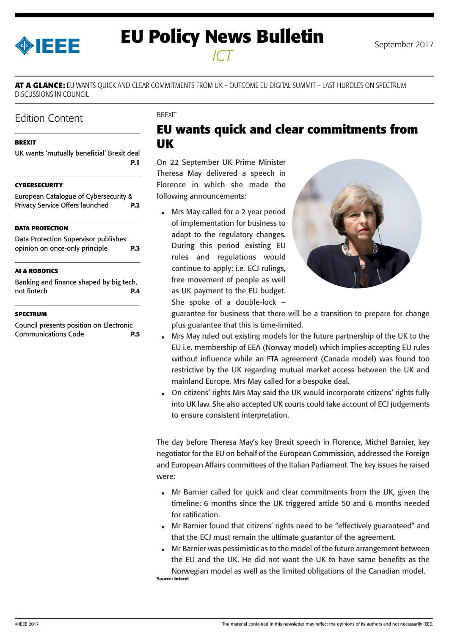<span id="page-0-0"></span>

# **EU Policy News Bulletin** September 2017 *ICT*

**AT A GLANCE:** EU WANTS QUICK AND CLEAR COMMITMENTS FROM UK – OUTCOME EU DIGITAL SUMMIT – LAST HURDLES ON SPECTRUM DISCUSSIONS IN COUNCIL

## Edition Content

#### **BREXIT**

UK wants 'mutually beneficial' Brexit deal **P.1**

#### **[CYBERSECURITY](#page-1-0)**

| <b>European Catalogue of Cybersecurity &amp;</b> |            |
|--------------------------------------------------|------------|
| Privacy Service Offers launched                  | <b>P.2</b> |

#### **[DATA PROTECTION](#page-2-0)**

[Data Protection Supervisor publishes](#page-2-0)  [opinion on once-only principle](#page-2-0) **P.3**

#### **[AI & ROBOTICS](#page-3-0)**

[Banking and finance shaped by big tech,](#page-3-0)  [not fintech](#page-3-0) **P.4**

#### **[SPECTRUM](#page-4-0)**

[Council presents position on Electronic](#page-4-0)  [Communications Code](#page-4-0) **P.5** **BREXIT** 

## **EU wants quick and clear commitments from UK**

On 22 September UK Prime Minister Theresa May delivered a speech in Florence in which she made the following announcements:

 Mrs May called for a 2 year period of implementation for business to adapt to the regulatory changes. During this period existing EU rules and regulations would continue to apply: i.e. ECJ rulings, free movement of people as well as UK payment to the EU budget. She spoke of a double-lock –



guarantee for business that there will be a transition to prepare for change plus guarantee that this is time-limited.

- Mrs May ruled out existing models for the future partnership of the UK to the EU i.e. membership of EEA (Norway model) which implies accepting EU rules without influence while an FTA agreement (Canada model) was found too restrictive by the UK regarding mutual market access between the UK and mainland Europe. Mrs May called for a bespoke deal.
- On citizens' rights Mrs May said the UK would incorporate citizens' rights fully into UK law. She also accepted UK courts could take account of ECJ judgements to ensure consistent interpretation.

The day before Theresa May's key Brexit speech in Florence, Michel Barnier, key negotiator for the EU on behalf of the European Commission, addressed the Foreign and European Affairs committees of the Italian Parliament. The key issues he raised were:

- Mr Barnier called for quick and clear commitments from the UK, given the timeline: 6 months since the UK triggered article 50 and 6 months needed for ratification.
- Mr Barnier found that citizens' rights need to be "effectively guaranteed" and that the ECJ must remain the ultimate guarantor of the agreement.
- Mr Barnier was pessimistic as to the model of the future arrangement between the EU and the UK. He did not want the UK to have same benefits as the Norwegian model as well as the limited obligations of the Canadian model. **Source: Interel**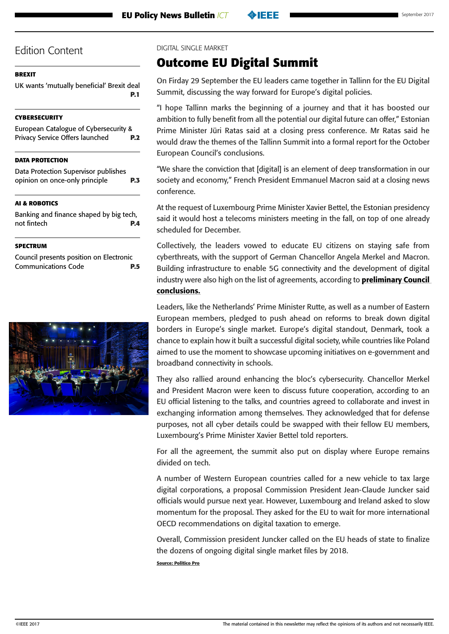### <span id="page-1-0"></span>**[BREXIT](#page-0-0)**

[UK wants 'mutually beneficial' Brexit deal](#page-0-0) **[P.1](#page-0-0)**

### **CYBERSECURITY**

European Catalogue of Cybersecurity & Privacy Service Offers launched **P.2**

### **[DATA PROTECTION](#page-2-0)**

[Data Protection Supervisor publishes](#page-2-0)  [opinion on once-only principle](#page-2-0) **P.3**

## **[AI & ROBOTICS](#page-3-0)**

[Banking and finance shaped by big tech,](#page-3-0)  [not fintech](#page-3-0) **P.4**

#### **[SPECTRUM](#page-4-0)**

[Council presents position on Electronic](#page-4-0)  [Communications Code](#page-4-0) **P.5**



DIGITAL SINGLE MARKET

## **Outcome EU Digital Summit**

On Firday 29 September the EU leaders came together in Tallinn for the EU Digital Summit, discussing the way forward for Europe's digital policies.

"I hope Tallinn marks the beginning of a journey and that it has boosted our ambition to fully benefit from all the potential our digital future can offer," Estonian Prime Minister Jüri Ratas said at a closing press conference. Mr Ratas said he would draw the themes of the Tallinn Summit into a formal report for the October European Council's conclusions.

"We share the conviction that [digital] is an element of deep transformation in our society and economy," French President Emmanuel Macron said at a closing news conference.

At the request of Luxembourg Prime Minister Xavier Bettel, the Estonian presidency said it would host a telecoms ministers meeting in the fall, on top of one already scheduled for December.

Collectively, the leaders vowed to educate EU citizens on staying safe from cyberthreats, with the support of German Chancellor Angela Merkel and Macron. Building infrastructure to enable 5G connectivity and the development of digital industry were also high on the list of agreements, according to **preliminary Council** [conclusions.](https://www.eu2017.ee/news/press-releases/preliminary-conclusions-prime-minister-estonia?utm_source=DSMS&utm_medium=email&utm_campaign=Ratas+preliminary+conclusions&utm_term=952.46026.15379.0.46026&utm_content=Press+material)

Leaders, like the Netherlands' Prime Minister Rutte, as well as a number of Eastern European members, pledged to push ahead on reforms to break down digital borders in Europe's single market. Europe's digital standout, Denmark, took a chance to explain how it built a successful digital society, while countries like Poland aimed to use the moment to showcase upcoming initiatives on e-government and broadband connectivity in schools.

They also rallied around enhancing the bloc's cybersecurity. Chancellor Merkel and President Macron were keen to discuss future cooperation, according to an EU official listening to the talks, and countries agreed to collaborate and invest in exchanging information among themselves. They acknowledged that for defense purposes, not all cyber details could be swapped with their fellow EU members, Luxembourg's Prime Minister Xavier Bettel told reporters.

For all the agreement, the summit also put on display where Europe remains divided on tech.

A number of Western European countries called for a new vehicle to tax large digital corporations, a proposal Commission President Jean-Claude Juncker said officials would pursue next year. However, Luxembourg and Ireland asked to slow momentum for the proposal. They asked for the EU to wait for more international OECD recommendations on digital taxation to emerge.

Overall, Commission president Juncker called on the EU heads of state to finalize the dozens of ongoing digital single market files by 2018.

**Source: Politico Pro**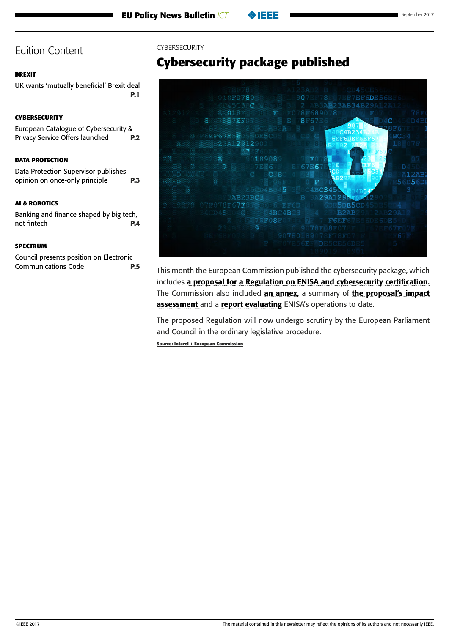#### <span id="page-2-0"></span>**[BREXIT](#page-0-0)**

[UK wants 'mutually beneficial' Brexit deal](#page-0-0) **[P.1](#page-0-0)**

### **[CYBERSECURITY](#page-1-0)**

| <b>European Catalogue of Cybersecurity &amp;</b> |            |
|--------------------------------------------------|------------|
| Privacy Service Offers launched                  | <b>P.2</b> |
|                                                  |            |

### **DATA PROTECTION**

Data Protection Supervisor publishes opinion on once-only principle **P.3**

### **[AI & ROBOTICS](#page-3-0)**

[Banking and finance shaped by big tech,](#page-3-0)  [not fintech](#page-3-0) **P.4**

#### **[SPECTRUM](#page-4-0)**

[Council presents position on Electronic](#page-4-0)  [Communications Code](#page-4-0) **P.5**

#### CYBERSECURITY

# **Cybersecurity package published**



This month the European Commission published the cybersecurity package, which includes a proposal for a Regulation on ENISA and cybersecurity certification. The Commission also included [an annex,](http://politico.us8.list-manage.com/track/click?u=e26c1a1c392386a968d02fdbc&id=784e963844&e=1262238886) a summary of the proposal's impact [assessment](http://politico.us8.list-manage.com/track/click?u=e26c1a1c392386a968d02fdbc&id=f0c4b38045&e=1262238886) and a [report evaluating](http://politico.us8.list-manage1.com/track/click?u=e26c1a1c392386a968d02fdbc&id=61eed1d69b&e=1262238886) ENISA's operations to date.

The proposed Regulation will now undergo scrutiny by the European Parliament and Council in the ordinary legislative procedure.

**Source: Interel + European Commission**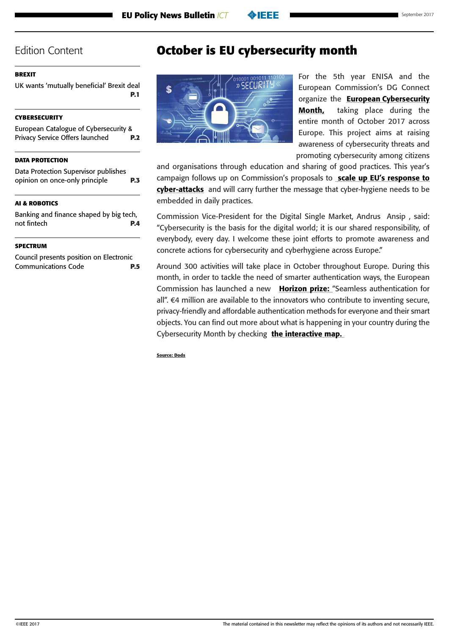#### <span id="page-3-0"></span>**[BREXIT](#page-0-0)**

[UK wants 'mutually beneficial' Brexit deal](#page-0-0) **[P.1](#page-0-0)**

#### **[CYBERSECURITY](#page-1-0)**

[European Catalogue of Cybersecurity &](#page-1-0)  [Privacy Service Offers launched](#page-1-0) **P.2**

#### **[DATA PROTECTION](#page-2-0)**

[Data Protection Supervisor publishes](#page-2-0)  [opinion on once-only principle](#page-2-0) **P.3**

#### **AI & ROBOTICS**

Banking and finance shaped by big tech, not fintech **P.4**

#### **[SPECTRUM](#page-4-0)**

[Council presents position on Electronic](#page-4-0)  [Communications Code](#page-4-0) **P.5**

## **October is EU cybersecurity month**



For the 5th year ENISA and the European Commission's DG Connect organize the [European Cybersecurity](http://mmail.dods.co.uk/wf/click?upn=LGmvk9e4tB7DO266OoRMcrTbWHgX-2FrLhO3yBVTLJCt-2BM4dMgHNKZguKcy-2FlpS8S3_UTEA2Ss2d4pXoYzH3oOx4q-2FxGBF1Wt1ClHXwhMG6fAXGf3ymn3uMrIhm67uYKptN6p85XCD6Gq7KZRtHN26brRFYF7SR3xFzA4x3fJqP5FTIpQb3NULOlxFwwDY9-2FZXo3JzIw1RZATSXqbinZtZ3KhpyaSYUNn7QBf2WLRlTdOLnzj8JiM1ikM8PIdXklfOjOlHs7TpybcPt8pFyOsv1CnBr7Zim0Mntnr6wKGHahUI-3D)  [Month,](http://mmail.dods.co.uk/wf/click?upn=LGmvk9e4tB7DO266OoRMcrTbWHgX-2FrLhO3yBVTLJCt-2BM4dMgHNKZguKcy-2FlpS8S3_UTEA2Ss2d4pXoYzH3oOx4q-2FxGBF1Wt1ClHXwhMG6fAXGf3ymn3uMrIhm67uYKptN6p85XCD6Gq7KZRtHN26brRFYF7SR3xFzA4x3fJqP5FTIpQb3NULOlxFwwDY9-2FZXo3JzIw1RZATSXqbinZtZ3KhpyaSYUNn7QBf2WLRlTdOLnzj8JiM1ikM8PIdXklfOjOlHs7TpybcPt8pFyOsv1CnBr7Zim0Mntnr6wKGHahUI-3D) taking place during the entire month of October 2017 across Europe. This project aims at raising awareness of cybersecurity threats and promoting cybersecurity among citizens

and organisations through education and sharing of good practices. This year's campaign follows up on Commission's proposals to [scale up EU's response to](http://mmail.dods.co.uk/wf/click?upn=6-2F-2BCEvtYKgkKXJ4TUn8-2FFVzUWCopLXp3zky2XbsYIZ5l4skAg3NTHj5-2BCB2UnvVobaGYtteX1q-2Ft-2F9tcTVV3Xg-3D-3D_UTEA2Ss2d4pXoYzH3oOx4q-2FxGBF1Wt1ClHXwhMG6fAXGf3ymn3uMrIhm67uYKptN6p85XCD6Gq7KZRtHN26brdjJXRRv1rxk8IkWvit-2B-2FlL2kEmlBkzYsNs7dHwjWScD4Z9WHplvxmO-2F8lRGHBDpkNtQ4CDweY1QOhPEuvVrwJi96zOuC1RI5EpREDL3W-2FYGnNYSu3GFywuFBpFhPUMQjT1eTxBV7-2BWe4ItnM-2Fmgtks-3D)  [cyber-attacks](http://mmail.dods.co.uk/wf/click?upn=6-2F-2BCEvtYKgkKXJ4TUn8-2FFVzUWCopLXp3zky2XbsYIZ5l4skAg3NTHj5-2BCB2UnvVobaGYtteX1q-2Ft-2F9tcTVV3Xg-3D-3D_UTEA2Ss2d4pXoYzH3oOx4q-2FxGBF1Wt1ClHXwhMG6fAXGf3ymn3uMrIhm67uYKptN6p85XCD6Gq7KZRtHN26brdjJXRRv1rxk8IkWvit-2B-2FlL2kEmlBkzYsNs7dHwjWScD4Z9WHplvxmO-2F8lRGHBDpkNtQ4CDweY1QOhPEuvVrwJi96zOuC1RI5EpREDL3W-2FYGnNYSu3GFywuFBpFhPUMQjT1eTxBV7-2BWe4ItnM-2Fmgtks-3D) and will carry further the message that cyber-hygiene needs to be embedded in daily practices.

Commission Vice-President for the Digital Single Market, Andrus Ansip , said: "Cybersecurity is the basis for the digital world; it is our shared responsibility, of everybody, every day. I welcome these joint efforts to promote awareness and concrete actions for cybersecurity and cyberhygiene across Europe."

Around 300 activities will take place in October throughout Europe. During this month, in order to tackle the need of smarter authentication ways, the European Commission has launched a new [Horizon prize:](http://mmail.dods.co.uk/wf/click?upn=ylTnCxh9zvUxpjPh46TRxGJd0LU9-2Ff6yX0dBT0jSsISZTgF4ecyYLzBCR73BdhFUaxeKR5A3ZS0P7khWmcXObm75a5HYidxV-2Br8BJzqO9ew-3D_UTEA2Ss2d4pXoYzH3oOx4q-2FxGBF1Wt1ClHXwhMG6fAXGf3ymn3uMrIhm67uYKptN6p85XCD6Gq7KZRtHN26brSbeU4SSInrCiU-2FQz2zpMIoEagwIR0s05dh7fzYvYWWETwkXQskYjw-2BmhSRC9pQlQF0keiqQ8FtKKi6-2FfKmtgBtQY0-2BEzaduLCKk2zNoUnX9b2LjkFGHN2NjU8IBlwzGJ7rPhcO2YjZDxcHgEaiHAJI-3D) "Seamless authentication for all". €4 million are available to the innovators who contribute to inventing secure, privacy-friendly and affordable authentication methods for everyone and their smart objects. You can find out more about what is happening in your country during the Cybersecurity Month by checking [the interactive map.](http://mmail.dods.co.uk/wf/click?upn=LGmvk9e4tB7DO266OoRMcrTbWHgX-2FrLhO3yBVTLJCt8de5vtOw4idmSxEh23o-2BSyRZWGqKWlyX-2BbMm9aGdHybA-3D-3D_UTEA2Ss2d4pXoYzH3oOx4q-2FxGBF1Wt1ClHXwhMG6fAXGf3ymn3uMrIhm67uYKptN6p85XCD6Gq7KZRtHN26brQIjvmd5prbN50a8-2B-2BYb23vzlKpX5nDwc2OXCjJFev-2BFTk9L2SpS-2BPoGlOXhB1aD1njC7N-2B5boL-2FlLoUL5lWYPK1-2F6BuvwoD-2FxvCP1jySYQhZpvdN8ezJMM1Tyy1yrr3bXSrEODI9xO5MbnQje-2FKBwc-3D) 

**Source: Dods**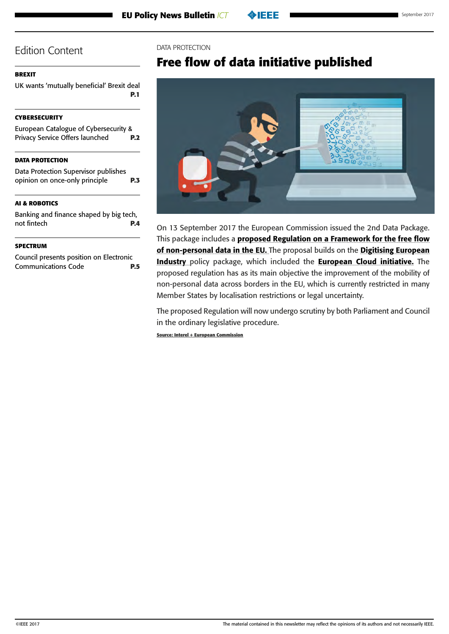## <span id="page-4-0"></span>**[BREXIT](#page-0-0)**

[UK wants 'mutually beneficial' Brexit deal](#page-0-0) **[P.1](#page-0-0)**

## **[CYBERSECURITY](#page-1-0)**

| European Catalogue of Cybersecurity & |            |
|---------------------------------------|------------|
| Privacy Service Offers launched       | <b>P.2</b> |

## **[DATA PROTECTION](#page-2-0)**

[Data Protection Supervisor publishes](#page-2-0)  [opinion on once-only principle](#page-2-0) **P.3**

## **[AI & ROBOTICS](#page-3-0)**

[Banking and finance shaped by big tech,](#page-3-0)  [not fintech](#page-3-0) **P.4**

#### **SPECTRUM**

Council presents position on Electronic Communications Code **P.5**

### DATA PROTECTION

# **Free flow of data initiative published**



On 13 September 2017 the European Commission issued the 2nd Data Package. This package includes a proposed Regulation on a Framework for the free flow [of non-personal data in the EU.](https://ec.europa.eu/digital-single-market/en/news/proposal-regulation-european-parliament-and-council-framework-free-flow-non-personal-data) The proposal builds on the Digitising European [Industry](http://eur-lex.europa.eu/legal-content/EN/TXT/PDF/?uri=CELEX:52016DC0180&from=EN) policy package, which included the **European Cloud initiative**. The proposed regulation has as its main objective the improvement of the mobility of non-personal data across borders in the EU, which is currently restricted in many Member States by localisation restrictions or legal uncertainty.

The proposed Regulation will now undergo scrutiny by both Parliament and Council in the ordinary legislative procedure.

**Source: Interel + European Commission**